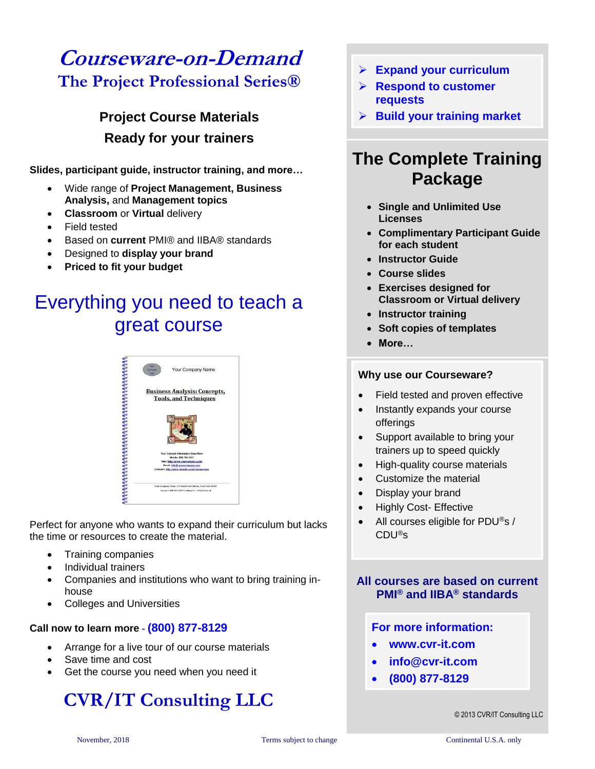## **Courseware-on-Demand The Project Professional Series®**

### **Project Course Materials Ready for your trainers**

**Slides, participant guide, instructor training, and more…**

- Wide range of **Project Management, Business Analysis,** and **Management topics**
- **Classroom** or **Virtual** delivery
- Field tested
- Based on **current** PMI® and IIBA® standards
- Designed to **display your brand**
- **Priced to fit your budget**

# Everything you need to teach a great course



Perfect for anyone who wants to expand their curriculum but lacks the time or resources to create the material.

- Training companies
- Individual trainers
- Companies and institutions who want to bring training inhouse
- Colleges and Universities

#### **Call now to learn more - (800) 877-8129**

- Arrange for a live tour of our course materials
- Save time and cost
- Get the course you need when you need it

# **CVR/IT Consulting LLC**

- ➢ **Expand your curriculum**
- ➢ **Respond to customer requests**
- ➢ **Build your training market**

### **The Complete Training Package**

- **Single and Unlimited Use Licenses**
- **Complimentary Participant Guide for each student**
- **Instructor Guide**
- **Course slides**
- **Exercises designed for Classroom or Virtual delivery**
- **Instructor training**
- **Soft copies of templates**
- **More…**

#### **Why use our Courseware?**

- Field tested and proven effective
- Instantly expands your course offerings
- Support available to bring your trainers up to speed quickly
- High-quality course materials
- Customize the material
- Display your brand
- Highly Cost- Effective
- All courses eligible for PDU®s / CDU®s

### **All courses are based on current PMI® and IIBA® standards**

### **For more information:**

- **www.cvr-it.com**
- **info@cvr-it.com**
- **(800) 877-8129**

© 2013 CVR/IT Consulting LLC